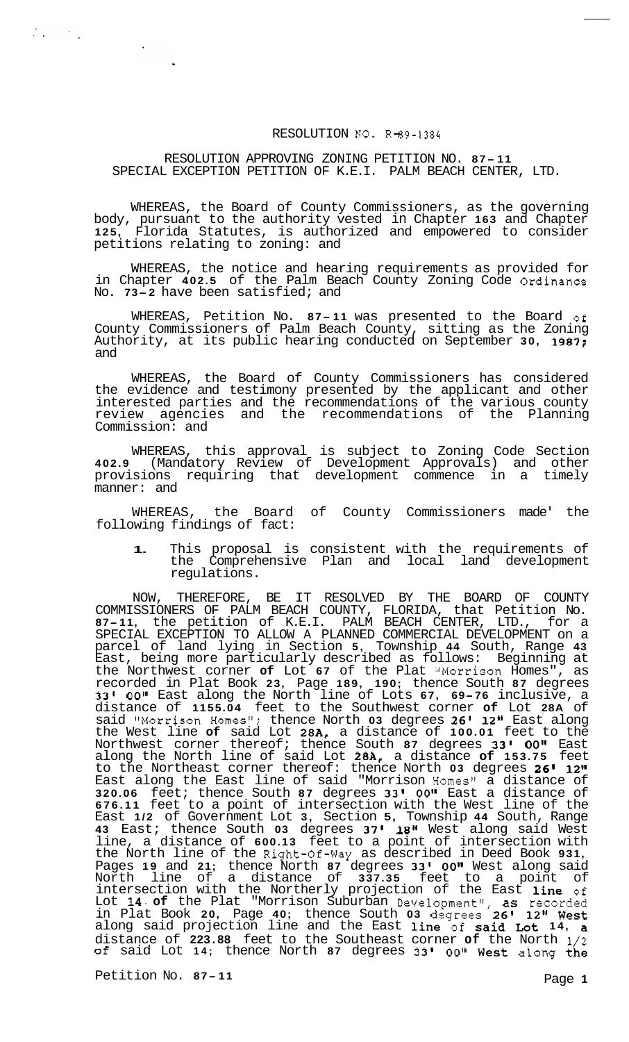## RESOLUTION NO. R-89-1384

## RESOLUTION APPROVING ZONING PETITION NO. **<sup>87</sup> - <sup>11</sup>** SPECIAL EXCEPTION PETITION OF K.E.I. PALM BEACH CENTER, LTD.

WHEREAS, the Board of County Commissioners, as the governing body, pursuant to the authority vested in Chapter **163** and Chapter **125,** Florida Statutes, is authorized and empowered to consider petitions relating to zoning: and

WHEREAS, the notice and hearing requirements as provided for in Chapter **402.5** of the Palm Beach County Zoning Code Ordinance No. **73-2** have been satisfied; and

WHEREAS, Petition No. **87- <sup>11</sup>**was presented to the Board of County Commissioners of Palm Beach County, sitting as the Zoning Authority, at its public hearing conducted on September **30, 1987;**  and

WHEREAS, the Board of County Commissioners has considered the evidence and testimony presented by the applicant and other interested parties and the recommendations of the various county review agencies and the recommendations of the Planning Commission: and

WHEREAS, this approval is subject to Zoning Code Section **402.9** (Mandatory Review of Development Approvals) and other provisions requiring that development commence in a timely manner: and

WHEREAS, the Board of County Commissioners made' the following findings of fact:

**1.** This proposal is consistent with the requirements of the Comprehensive Plan and local land development regulations.

NOW, THEREFORE, BE IT RESOLVED BY THE BOARD OF COUNTY COMMISSIONERS OF PALM BEACH COUNTY, FLORIDA, that Petition No. **87-11,** the petition of K.E.I. PALM BEACH CENTER, LTD., for a SPECIAL EXCEPTION TO ALLOW A PLANNED COMMERCIAL DEVELOPMENT on a parcel of land lying in Section **5,** Township **44** South, Range **43**  East, being more particularly described as follows: Beginning at the Northwest corner of Lot 67 of the Plat "Morrison Homes", as recorded in Plat Book **23,** Page **189, 190;** thence South **87** degrees **33' 0018** East along the North line of Lots **67, 69-76** inclusive, a distance of **1155.04** feet to the Southwest corner **of** Lot **28A** of said '#Morrison Homest1; thence North **03** degrees **26' 12"** East along the West line **of** said Lot **28A,** a distance of **100.01** feet to the Northwest corner thereof; thence South **87** degrees **33'** *00"* East along the North line of said Lot **28A,** a distance **of 153.75** feet to the Northeast corner thereof: thence North **03** degrees **26' 12"**  East along the East line of said "Morrison Homes" a distance of **320.06** feet; thence South **87** degrees **33'** OOII East a distance of **676.11** feet to a point of intersection with the West line of the East **1/2** of Government Lot **3,** Section **5,** Township **44** South, Range **43** East; thence South **03** degrees **37' 18"** West along said West line, a distance of **600.13** feet to a point of intersection with the North line of the Right-of-way as described in Deed Book **931,**  Pages 19 and 21; thence North 87 degrees 33' 00" West along said North line of a distance of **337.35** feet to a point of intersection with the Northerly projection of the East line **of**  Lot **14. of** the Plat "Morrison Suburban Development", as recorded in Plat Book **20,** Page **40;** thence South **03** degrees **261 12"** West along said projection line and the East line of said Lot **14,** a distance of **223.88** feet to the Southeast corner **of** the North 1/2 **of** said Lot **14;** thence North **87** degrees **331** *00~1* West along the

Petition No. 87-11 Petition No. 87-11

 $\frac{1}{2} \frac{1}{2} \frac{1}{2} \left( \frac{1}{2} \frac{1}{2} \right) \left( \frac{1}{2} \frac{1}{2} \right)$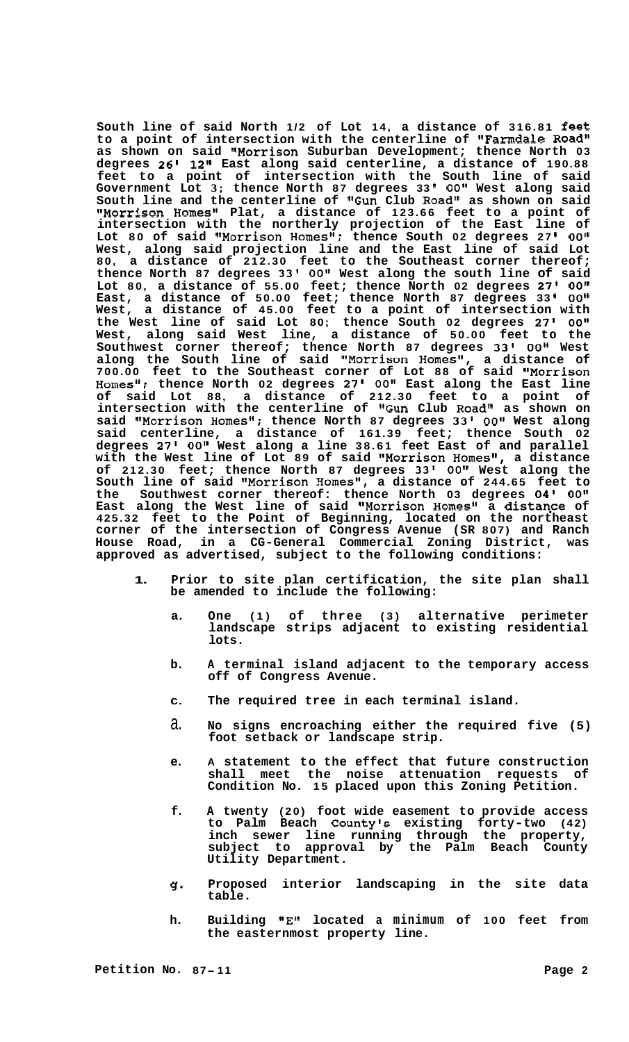**South line of said North 1/2 of Lot 14, a distance of 316.81 feet**  to a point of intersection with the centerline of **"Farmdale Road" as shown on said "Morrison Suburban Development; thence North 03 degrees 26l 12" East along said centerline, a distance of 190.88 feet to a point of intersection with the South line of said Government Lot 3; thence North 87 degrees 33 I** *00"* **West along said South line and the centerline of "Gun Club Road" as shown on said ItMorrison Homes" Plat, a distance of 123.66 feet to a point of intersection with the northerly projection of the East line of**  Lot 80 of said "Morrison Homes"; thence South 02 degrees 27' 00" **West, along said projection line and the East line of said Lot 80, a distance of 212.30 feet to the Southeast corner thereof; thence North 87 degrees 33' OOII West along the south line of said Lot 80, a distance of 55.00 feet; thence North 02 degrees 27' O0lt East, a distance of 50.00 feet; thence North 87 degrees 33 I** *00"*  **West, a distance of 45.00 feet to a point of intersection with the West line of said Lot 80; thence South 02 degrees 27' OOtl West, along said West line, a distance of 50.00 feet to the Southwest corner thereof; thence North 87 degrees 33' OOII West**  along the South line of said "Morrison Homes", a distance of **700.00 feet to the Southeast corner of Lot 88 of said IIMorrison Homestt; thence North 02 degrees 27'** *00"* **East along the East line of said Lot 88, a distance of 212.30 feet to a point of**  intersection with the centerline of "Gun Club Road" as shown on **said "Morrison Homes"; thence North 87 degrees 33' 0Ot1 West along said centerline, a distance of 161.39 feet; thence South 02 degrees 27'** OOII **West along a line 38.61 feet East of and parallel with the West line of Lot 89 of said IIMorrison Homes", a distance of 212.30 feet; thence North 87 degrees 33'** OOII **West along the South line of said t8Morrison Homestt, a distance of 244.65 feet to the Southwest corner thereof: thence North 03 degrees 04'** *00"*  East along the West line of said "Morrison Homes" a distance of **425.32 feet to the Point of Beginning, located on the northeast corner of the intersection of Congress Avenue (SR 807) and Ranch House Road, in a CG-General Commercial Zoning District, was approved as advertised, subject to the following conditions:** 

- **1. Prior to site plan certification, the site plan shall be amended to include the following:** 
	- **a. One (1) of three (3) alternative perimeter landscape strips adjacent to existing residential lots.**
	- **b. A terminal island adjacent to the temporary access off of Congress Avenue.**
	- **C. The required tree in each terminal island.**
	- a. **No signs encroaching either the required five (5) foot setback or landscape strip.**
	- **e. A statement to the effect that future construction shall meet the noise attenuation requests of Condition No. 15 placed upon this Zoning Petition.**
	- **f. A twenty (20) foot wide easement to provide access to Palm Beach County's existing forty-two (42) inch sewer line running through the property, subject to approval by the Palm Beach County Utility Department.**
	- **g. Proposed interior landscaping in the site data table.**
	- **h.**  Building "E" located a minimum of **100** feet from **the easternmost property line.**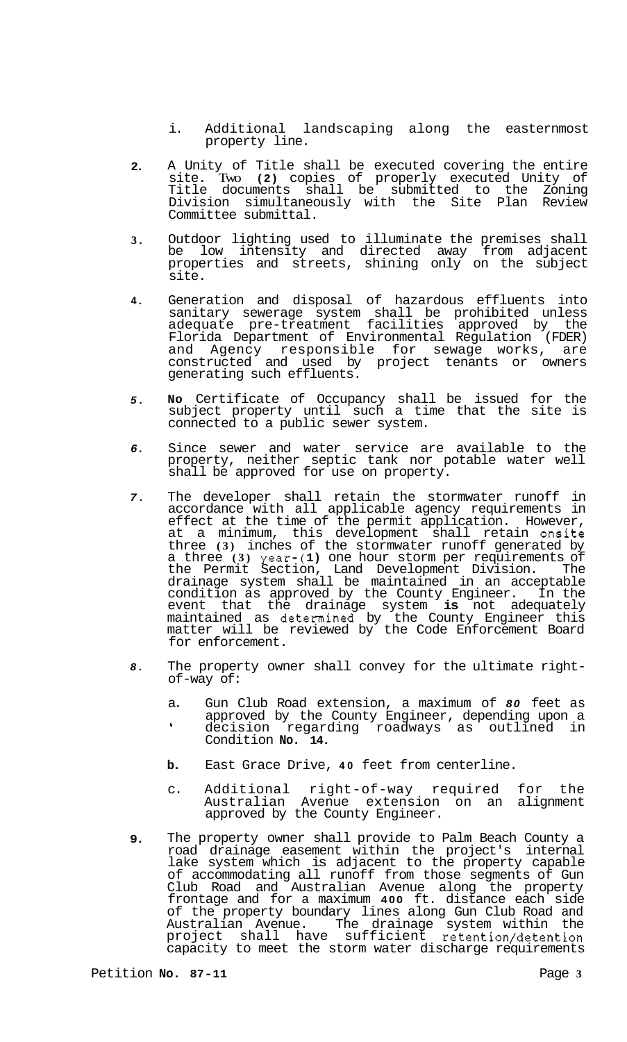- i. Additional landscaping along the easternmost property line.
- **2.**  A Unity of Title shall be executed covering the entire site. Two **(2)** copies of properly executed Unity of Title documents shall be submitted to the Zoning Division simultaneously with the Site Plan Review Committee submittal.
- **3.**  Outdoor lighting used to illuminate the premises shall be low intensity and directed away from adjacent properties and streets, shining only on the subject site.
- **4.**  Generation and disposal of hazardous effluents into sanitary sewerage system shall be prohibited unless adequate pre-treatment facilities approved by the Florida Department of Environmental Regulation (FDER) and Agency responsible for sewage works, are constructed and used by project tenants or owners generating such effluents.
- *5.*  **No** Certificate of Occupancy shall be issued for the subject property until such a time that the site is connected to a public sewer system.
- *6.*  Since sewer and water service are available to the property, neither septic tank nor potable water well shall be approved for use on property.
- *7.*  The developer shall retain the stormwater runoff in accordance with all applicable agency requirements in effect at the time of the permit application. However, at a minimum, this development shall retain onsite three **(3)** inches of the stormwater runoff generated by a three **(3)** year-( **1)** one hour storm per requirements of the Permit Section, Land Development Division. The drainage system shall be maintained in an acceptable condition as approved by the County Engineer. In the event that the drainage system **is** not adequately maintained as determined by the County Engineer this matter will be reviewed by the Code Enforcement Board for enforcement.
- *8.*  The property owner shall convey for the ultimate right-<br>of-way of:
	- a. Gun Club Road extension, a maximum of *80* feet as approved by the County Engineer, depending upon a decision regarding roadways as outlined in Condition **No. 14. b**
	- **b.** East Grace Drive, **40** feet from centerline.
	- c. Additional right-of-way required for the Australian Avenue extension on an alignment approved by the County Engineer.
- **9.**  The property owner shall provide to Palm Beach County a road drainage easement within the project's internal lake system which is adjacent to the property capable of accommodating all runoff from those segments of Gun Club Road and Australian Avenue along the property frontage and for a maximum **400** ft. distance each side of the property boundary lines along Gun Club Road and Australian Avenue. The drainage system within the project shall have sufficient retention/detention capacity to meet the storm water discharge requirements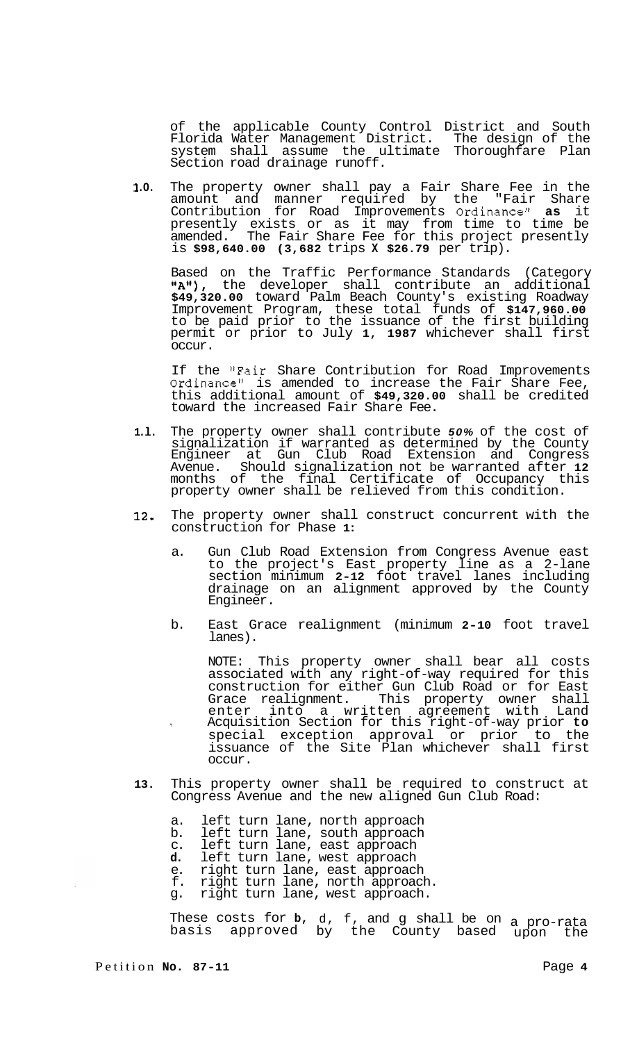of the applicable County Control District and South Florida Water Management District. The design of the system shall assume the ultimate Thoroughfare Plan Section road drainage runoff.

 $1.0.$ **.O.** The property owner shall pay a Fair Share Fee in the amount and manner required by the "Fair Share Contribution for Road Improvements Ordinancell **as** it presently exists or as it may from time to time be amended. The Fair Share Fee for this project presently is **\$98,640.00 (3,682** trips **X \$26.79** per trip).

Based on the Traffic Performance Standards (Category "A"), the developer shall contribute an additional **\$49,320.00** toward Palm Beach County's existing Roadway Improvement Program, these total funds of **\$147,960.00**  to be paid prior to the issuance of the first building permit or prior to July **1, 1987** whichever shall first occur.

If the "Fair Share Contribution for Road Improvements Ordinancell is amended to increase the Fair Share Fee, this additional amount of **\$49,320.00** shall be credited toward the increased Fair Share Fee.

- **1 .l.** The property owner shall contribute *50%* of the cost of signalization if warranted as determined by the County Engineer at Gun Club Road Extension and Congress Avenue. Should signalization not be warranted after **12**  months of the final Certificate of Occupancy this property owner shall be relieved from this condition.
- **12.** The property owner shall construct concurrent with the construction for Phase **1:** 
	- a. Gun Club Road Extension from Congress Avenue east to the project's East property line as a 2-lane section minimum **2-12** foot travel lanes including drainage on an alignment approved by the County Engineer.
	- b. East Grace realignment (minimum **2-10** foot travel lanes).

NOTE: This property owner shall bear all costs associated with any right-of-way required for this construction for either Gun Club Road or for East Grace realignment. This property owner shall enter into a written agreement with Land special exception approval or prior to the issuance of the Site Plan whichever shall first occur. **I** Acquisition Section for this right-of-way prior **to** 

- **13.** This property owner shall be required to construct at Congress Avenue and the new aligned Gun Club Road:
	- a. left turn lane, north approach
	- b. left turn lane, south approach
	- c. left turn lane, east approach
	- **d.** left turn lane, west approach e. right turn lane, east approach
	- f. right turn lane, north approach.
	- g. right turn lane, west approach.

These costs for **b,** d, f, and g shall be on a pro-rata basis approved by the County based upon the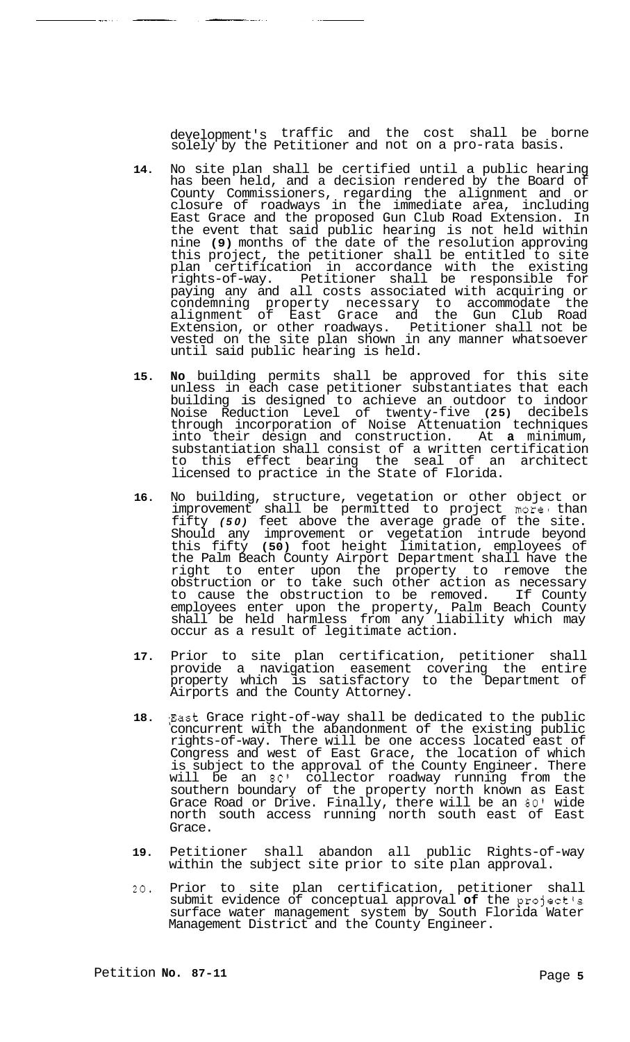development's traffic and the cost shall be borne solely by the Petitioner and not on a pro-rata basis.

<u>and the state</u>

 $\overline{\phantom{a}}$  and  $\overline{\phantom{a}}$ 

- **14.** No site plan shall be certified until a public hearing has been held, and a decision rendered by the Board of County Commissioners, regarding the alignment and or closure of roadways in the immediate area, including East Grace and the proposed Gun Club Road Extension. In the event that said public hearing is not held within nine **(9)** months of the date of the resolution approving this project, the petitioner shall be entitled to site plan certification in accordance with the existing rights-of-way. Petitioner shall be responsible for paying any and all costs associated with acquiring or condemning property necessary to accommodate the alignment of East Grace and the Gun Club Road Extension, or other roadways. Petitioner shall not be vested on the site plan shown in any manner whatsoever until said public hearing is held.
- **15. No** building permits shall be approved for this site unless in each case petitioner substantiates that each building is designed to achieve an outdoor to indoor Noise Reduction Level of twenty-five **(25)** decibels through incorporation of Noise Attenuation techniques into their design and construction. At **a** minimum, substantiation shall consist of a written certification to this effect bearing the seal of an architect licensed to practice in the State of Florida.
- **16.** No building, structure, vegetation or other object or improvement shall be permitted to project more than fifty *(50)* feet above the average grade of the site. Should any improvement or vegetation intrude beyond this fifty **(50)** foot height limitation, employees of the Palm Beach County Airport Department shall have the right to enter upon the property to remove the obstruction or to take such other action as necessary to cause the obstruction to be removed. If County employees enter upon the property, Palm Beach County shall be held harmless from any liability which may occur as a result of legitimate action.
- **17.** Prior to site plan certification, petitioner shall provide a navigation easement covering the entire property which is satisfactory to the Department of Airports and the County Attorney.
- **18.** ;East Grace right-of-way shall be dedicated to the public concurrent with the abandonment of the existing public rights-of-way. There will be one access located east of Congress and west of East Grace, the location of which is subject to the approval of the County Engineer. There will be an *80'* collector roadway running from the southern boundary of the property north known as East Grace Road or Drive. Finally, there will be an *80'* wide north south access running north south east of East Grace.
- **19.** Petitioner shall abandon all public Rights-of-way within the subject site prior to site plan approval.
- **20.** Prior to site plan certification, petitioner shall submit evidence of conceptual approval **of** the project's surface water management system by South Florida Water Management District and the County Engineer.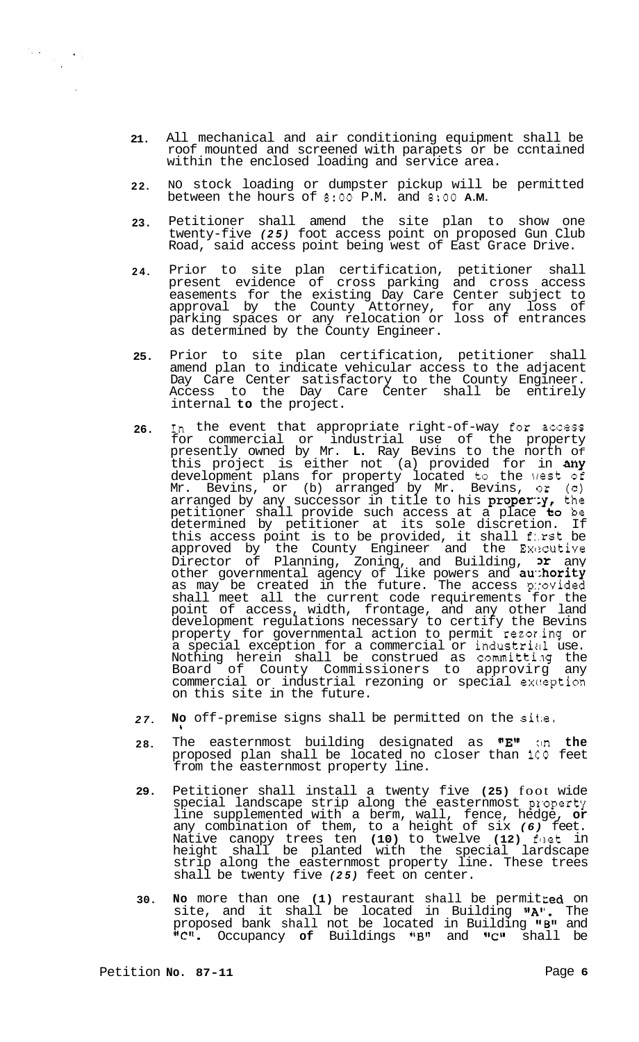- **21.**  All mechanical and air conditioning equipment shall be roof mounted and screened with parapets or be ccntained within the enclosed loading and service area.
- **22.**  NO stock loading or dumpster pickup will be permitted between the hours of **8:OO** P.M. and **8:OO A.M.**
- **23.**  Petitioner shall amend the site plan to show one twenty-five *(25)* foot access point on proposed Gun Club Road, said access point being west of East Grace Drive.
- **24.**  Prior to site plan certification, petitioner shall present evidence of cross parking and cross access easements for the existing Day Care Center subject to approval by the County Attorney, for any loss of parking spaces or any relocation or loss of entrances as determined by the County Engineer.
- **25.**  Prior to site plan certification, petitioner shall amend plan to indicate vehicular access to the adjacent Day Care Center satisfactory to the County Engineer. Access to the Day Care Center shall be entirely internal **to** the project.
- **26.**  In the event that appropriate right-of-way for access for commercial or industrial use of the property presently owned by Mr. **L.** Ray Bevins to the north Of this project is either not (a) provided for in any development plans for property located to the \rest Of Mr. Bevins, or (b) arranged by Mr. Bevins, or (C) arranged by any successor in title to his  $proper:y,$  the petitioner shall provide such access at a place **to** be determined by petitioner at its sole discretion. If this access point is to be provided, it shall f:.rst be approved by the County Engineer and the Executive Director of Planning, Zoning, and Building,  $\mathbf{p}$  any other governmental agency of like powers and **au hority** as may be created in the future. The access p::ovided shall meet all the current code requirements for the point of access, width, frontage, and any other land development regulations necessary to certify the Bevins property for governmental action to permit rezoring or a special exception for a commercial or industrial use. Nothing herein shall be construed as committilg the Board of County Commissioners to approvirg any commercial or industrial rezoning or special exception on this site in the future.
- *27.*  **No** off-premise signs shall be permitted on the sit:e. **I**
- **28.**  The easternmost building designated as "E"  $\ln$  the proposed plan shall be located no closer than **1CO** feet from the easternmost property line.
- **29.**  Petitioner shall install a twenty five **(25)** foot wide special landscape strip along the easternmost property line supplemented with a berm, wall, fence, hedge, **or**  any combination of them, to a height of six *(6)* feet. Native canopy trees ten **(10)** to twelve **(12)** flset in height shall be planted with the special lardscape strip along the easternmost property line. These trees shall be twenty five *(25)* feet on center.
- **30. No** more than one **(1)** restaurant shall be permit Led on site, and it shall be located in Building "A". The proposed bank shall not be located in Building **I1B1I** and "C". Occupancy of Buildings "B" and "C" shall be

 $\label{eq:2} \frac{1}{2} \sum_{i=1}^n \frac{1}{2} \sum_{j=1}^n \frac{1}{2} \sum_{j=1}^n \frac{1}{2} \sum_{j=1}^n \frac{1}{2} \sum_{j=1}^n \frac{1}{2} \sum_{j=1}^n \frac{1}{2} \sum_{j=1}^n \frac{1}{2} \sum_{j=1}^n \frac{1}{2} \sum_{j=1}^n \frac{1}{2} \sum_{j=1}^n \frac{1}{2} \sum_{j=1}^n \frac{1}{2} \sum_{j=1}^n \frac{1}{2} \sum_{j=1}^n \frac{1}{$